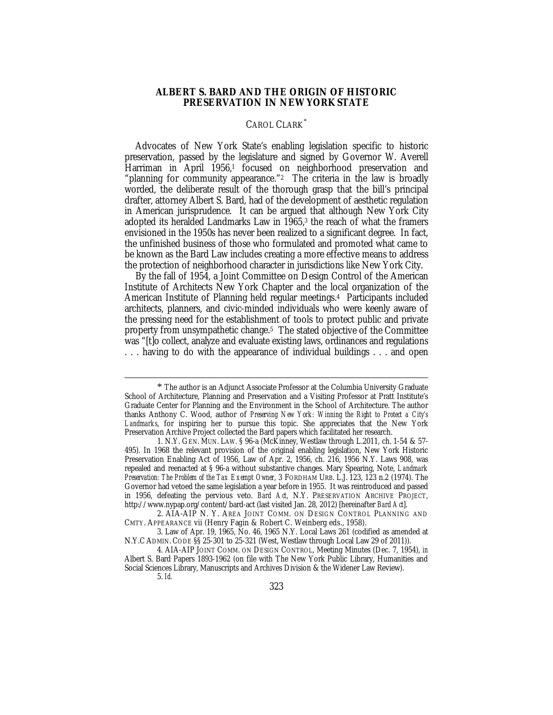## **ALBERT S. BARD AND THE ORIGIN OF HISTORIC PRESERVATION IN NEW YORK STATE**

## CAROL CLARK\*

Advocates of New York State's enabling legislation specific to historic preservation, passed by the legislature and signed by Governor W. Averell Harriman in April 1956,<sup>1</sup> focused on neighborhood preservation and "planning for community appearance."<sup>2</sup> The criteria in the law is broadly worded, the deliberate result of the thorough grasp that the bill's principal drafter, attorney Albert S. Bard, had of the development of aesthetic regulation in American jurisprudence. It can be argued that although New York City adopted its heralded Landmarks Law in 1965,<sup>3</sup> the reach of what the framers envisioned in the 1950s has never been realized to a significant degree. In fact, the unfinished business of those who formulated and promoted what came to be known as the Bard Law includes creating a more effective means to address the protection of neighborhood character in jurisdictions like New York City.

By the fall of 1954, a Joint Committee on Design Control of the American Institute of Architects New York Chapter and the local organization of the American Institute of Planning held regular meetings.4 Participants included architects, planners, and civic-minded individuals who were keenly aware of the pressing need for the establishment of tools to protect public and private property from unsympathetic change.5 The stated objective of the Committee was "[t]o collect, analyze and evaluate existing laws, ordinances and regulations . . . having to do with the appearance of individual buildings . . . and open

\* The author is an Adjunct Associate Professor at the Columbia University Graduate School of Architecture, Planning and Preservation and a Visiting Professor at Pratt Institute's Graduate Center for Planning and the Environment in the School of Architecture. The author thanks Anthony C. Wood, author of *Preserving New York: Winning the Right to Protect a City's Landmarks*, for inspiring her to pursue this topic. She appreciates that the New York Preservation Archive Project collected the Bard papers which facilitated her research.

<sup>1.</sup> N.Y. GEN. MUN. LAW. § 96-a (McKinney, Westlaw through L.2011, ch. 1-54 & 57- 495). In 1968 the relevant provision of the original enabling legislation, New York Historic Preservation Enabling Act of 1956, Law of Apr. 2, 1956, ch. 216, 1956 N.Y. Laws 908, was repealed and reenacted at § 96-a without substantive changes. Mary Spearing, Note, *Landmark Preservation: The Problem of the Tax Exempt Owner*, 3 FORDHAM URB. L.J. 123, 123 n.2 (1974). The Governor had vetoed the same legislation a year before in 1955. It was reintroduced and passed in 1956, defeating the pervious veto. *Bard Act*, N.Y. PRESERVATION ARCHIVE PROJECT, http://www.nypap.org/content/bard-act (last visited Jan. 28, 2012) [hereinafter *Bard Act*].

<sup>2.</sup> AIA-AIP N. Y. AREA JOINT COMM. ON DESIGN CONTROL PLANNING AND CMTY. APPEARANCE vii (Henry Fagin & Robert C. Weinberg eds., 1958).

<sup>3.</sup> Law of Apr. 19, 1965, No. 46, 1965 N.Y. Local Laws 261 (codified as amended at N.Y.C ADMIN. CODE §§ 25-301 to 25-321 (West, Westlaw through Local Law 29 of 2011)).

<sup>4.</sup> AIA-AIP JOINT COMM. ON DESIGN CONTROL, Meeting Minutes (Dec. 7, 1954), *in* Albert S. Bard Papers 1893-1962 (on file with The New York Public Library, Humanities and Social Sciences Library, Manuscripts and Archives Division & the Widener Law Review).

<sup>5.</sup> *Id.*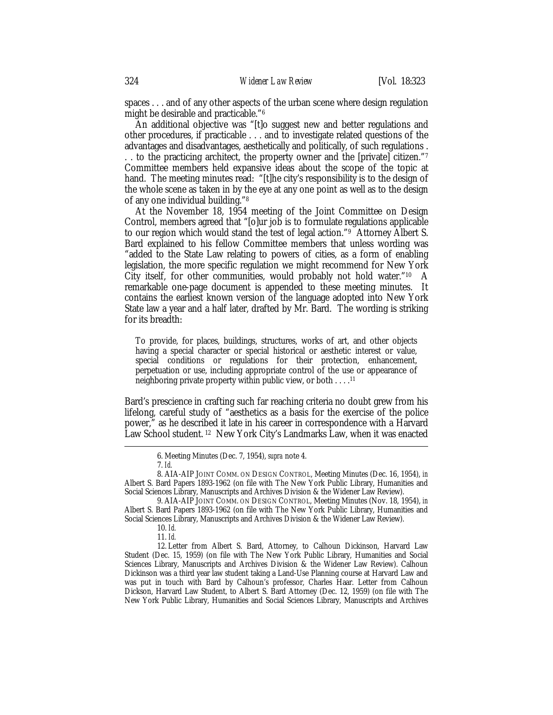spaces . . . and of any other aspects of the urban scene where design regulation might be desirable and practicable."6

An additional objective was "[t]o suggest new and better regulations and other procedures, if practicable . . . and to investigate related questions of the advantages and disadvantages, aesthetically and politically, of such regulations . .. to the practicing architect, the property owner and the [private] citizen."7 Committee members held expansive ideas about the scope of the topic at hand. The meeting minutes read: "[t]he city's responsibility is to the design of the whole scene as taken in by the eye at any one point as well as to the design of any one individual building."8

At the November 18, 1954 meeting of the Joint Committee on Design Control, members agreed that "[o]ur job is to formulate regulations applicable to our region which would stand the test of legal action."9 Attorney Albert S. Bard explained to his fellow Committee members that unless wording was "added to the State Law relating to powers of cities, as a form of enabling legislation, the more specific regulation we might recommend for New York City itself, for other communities, would probably not hold water."10 A remarkable one-page document is appended to these meeting minutes. It contains the earliest known version of the language adopted into New York State law a year and a half later, drafted by Mr. Bard. The wording is striking for its breadth:

To provide, for places, buildings, structures, works of art, and other objects having a special character or special historical or aesthetic interest or value, special conditions or regulations for their protection, enhancement, perpetuation or use, including appropriate control of the use or appearance of neighboring private property within public view, or both . . . .11

Bard's prescience in crafting such far reaching criteria no doubt grew from his lifelong, careful study of "aesthetics as a basis for the exercise of the police power," as he described it late in his career in correspondence with a Harvard Law School student. 12 New York City's Landmarks Law, when it was enacted

9. AIA-AIP JOINT COMM. ON DESIGN CONTROL, Meeting Minutes (Nov. 18, 1954), *in* Albert S. Bard Papers 1893-1962 (on file with The New York Public Library, Humanities and Social Sciences Library, Manuscripts and Archives Division & the Widener Law Review).

10. *Id.*

11. *Id.*

12. Letter from Albert S. Bard, Attorney, to Calhoun Dickinson, Harvard Law Student (Dec. 15, 1959) (on file with The New York Public Library, Humanities and Social Sciences Library, Manuscripts and Archives Division & the Widener Law Review). Calhoun Dickinson was a third year law student taking a Land-Use Planning course at Harvard Law and was put in touch with Bard by Calhoun's professor, Charles Haar. Letter from Calhoun Dickson, Harvard Law Student, to Albert S. Bard Attorney (Dec. 12, 1959) (on file with The New York Public Library, Humanities and Social Sciences Library, Manuscripts and Archives

 <sup>6.</sup> Meeting Minutes (Dec. 7, 1954), *supra* note 4.

<sup>7.</sup> *Id.*

<sup>8.</sup> AIA-AIP JOINT COMM. ON DESIGN CONTROL, Meeting Minutes (Dec. 16, 1954), *in* Albert S. Bard Papers 1893-1962 (on file with The New York Public Library, Humanities and Social Sciences Library, Manuscripts and Archives Division & the Widener Law Review).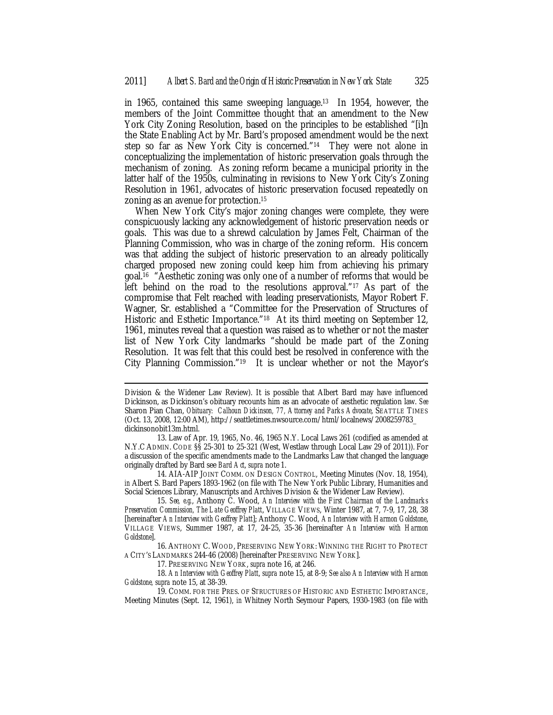in 1965, contained this same sweeping language.13 In 1954, however, the members of the Joint Committee thought that an amendment to the New York City Zoning Resolution, based on the principles to be established "[i]n the State Enabling Act by Mr. Bard's proposed amendment would be the next step so far as New York City is concerned."14 They were not alone in conceptualizing the implementation of historic preservation goals through the mechanism of zoning. As zoning reform became a municipal priority in the latter half of the 1950s, culminating in revisions to New York City's Zoning Resolution in 1961, advocates of historic preservation focused repeatedly on zoning as an avenue for protection.15

When New York City's major zoning changes were complete, they were conspicuously lacking any acknowledgement of historic preservation needs or goals. This was due to a shrewd calculation by James Felt, Chairman of the Planning Commission, who was in charge of the zoning reform. His concern was that adding the subject of historic preservation to an already politically charged proposed new zoning could keep him from achieving his primary goal.16 "Aesthetic zoning was only one of a number of reforms that would be left behind on the road to the resolutions approval."17 As part of the compromise that Felt reached with leading preservationists, Mayor Robert F. Wagner, Sr. established a "Committee for the Preservation of Structures of Historic and Esthetic Importance."<sup>18</sup> At its third meeting on September 12, 1961, minutes reveal that a question was raised as to whether or not the master list of New York City landmarks "should be made part of the Zoning Resolution. It was felt that this could best be resolved in conference with the City Planning Commission."19 It is unclear whether or not the Mayor's

<u>.</u>

Division & the Widener Law Review). It is possible that Albert Bard may have influenced Dickinson, as Dickinson's obituary recounts him as an advocate of aesthetic regulation law. *See* Sharon Pian Chan, *Obituary: Calhoun Dickinson, 77, Attorney and Parks Advocate*, SEATTLE TIMES (Oct. 13, 2008, 12:00 AM), http://seattletimes.nwsource.com/html/localnews/2008259783\_ dickinsonobit13m.html.

<sup>13.</sup> Law of Apr. 19, 1965, No. 46, 1965 N.Y. Local Laws 261 (codified as amended at N.Y.C ADMIN. CODE §§ 25-301 to 25-321 (West, Westlaw through Local Law 29 of 2011)). For a discussion of the specific amendments made to the Landmarks Law that changed the language originally drafted by Bard see *Bard Act*, *supra* note 1.

<sup>14.</sup> AIA-AIP JOINT COMM. ON DESIGN CONTROL, Meeting Minutes (Nov. 18, 1954), *in* Albert S. Bard Papers 1893-1962 (on file with The New York Public Library, Humanities and Social Sciences Library, Manuscripts and Archives Division & the Widener Law Review).

<sup>15.</sup> *See, e.g.*, Anthony C. Wood, *An Interview with the First Chairman of the Landmarks Preservation Commission, The Late Geoffrey Platt*, VILLAGE VIEWS, Winter 1987, at 7, 7-9, 17, 28, 38 [hereinafter *An Interview with Geoffrey Platt*]; Anthony C. Wood, *An Interview with Harmon Goldstone*, VILLAGE VIEWS, Summer 1987, at 17, 24-25, 35-36 [hereinafter *An Interview with Harmon Goldstone*].

<sup>16.</sup> ANTHONY C. WOOD, PRESERVING NEW YORK: WINNING THE RIGHT TO PROTECT A CITY'S LANDMARKS 244-46 (2008) [hereinafter PRESERVING NEW YORK].

<sup>17.</sup> PRESERVING NEW YORK, *supra* note 16, at 246.

<sup>18.</sup> *An Interview with Geoffrey Platt*, *supra* note 15, at 8-9; *See also An Interview with Harmon Goldstone, supra* note 15, at 38-39.

<sup>19.</sup> COMM. FOR THE PRES. OF STRUCTURES OF HISTORIC AND ESTHETIC IMPORTANCE, Meeting Minutes (Sept. 12, 1961), *in* Whitney North Seymour Papers, 1930-1983 (on file with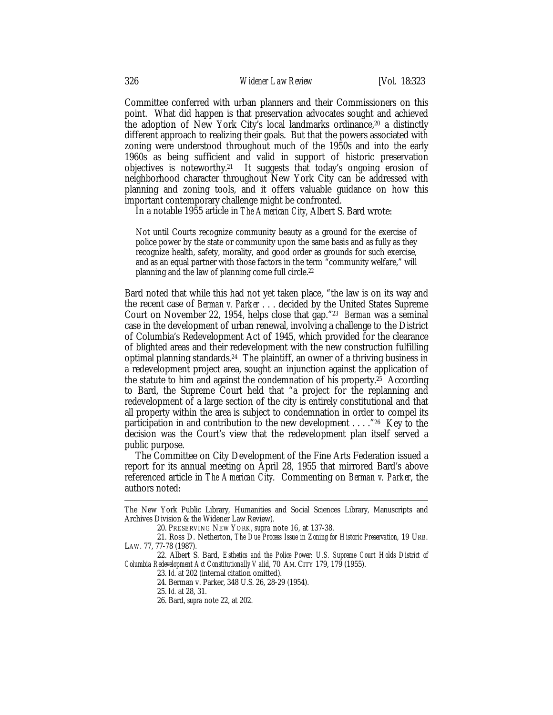Committee conferred with urban planners and their Commissioners on this point. What did happen is that preservation advocates sought and achieved the adoption of New York City's local landmarks ordinance,20 a distinctly different approach to realizing their goals. But that the powers associated with zoning were understood throughout much of the 1950s and into the early 1960s as being sufficient and valid in support of historic preservation objectives is noteworthy.21 It suggests that today's ongoing erosion of neighborhood character throughout New York City can be addressed with planning and zoning tools, and it offers valuable guidance on how this important contemporary challenge might be confronted.

In a notable 1955 article in *The American City*, Albert S. Bard wrote:

Not until Courts recognize community beauty as a ground for the exercise of police power by the state or community upon the same basis and as fully as they recognize health, safety, morality, and good order as grounds for such exercise, and as an equal partner with those factors in the term "community welfare," will planning and the law of planning come full circle.22

Bard noted that while this had not yet taken place, "the law is on its way and the recent case of *Berman v. Parker* . . . decided by the United States Supreme Court on November 22, 1954, helps close that gap."23 *Berman* was a seminal case in the development of urban renewal, involving a challenge to the District of Columbia's Redevelopment Act of 1945, which provided for the clearance of blighted areas and their redevelopment with the new construction fulfilling optimal planning standards.24 The plaintiff, an owner of a thriving business in a redevelopment project area, sought an injunction against the application of the statute to him and against the condemnation of his property.25 According to Bard, the Supreme Court held that "a project for the replanning and redevelopment of a large section of the city is entirely constitutional and that all property within the area is subject to condemnation in order to compel its participation in and contribution to the new development . . . ."26 Key to the decision was the Court's view that the redevelopment plan itself served a public purpose.

The Committee on City Development of the Fine Arts Federation issued a report for its annual meeting on April 28, 1955 that mirrored Bard's above referenced article in *The American City*. Commenting on *Berman v. Parker*, the authors noted:

23. *Id.* at 202 (internal citation omitted).

24. Berman v. Parker, 348 U.S. 26, 28-29 (1954).

<u>.</u>

The New York Public Library, Humanities and Social Sciences Library, Manuscripts and Archives Division & the Widener Law Review).

<sup>20.</sup> PRESERVING NEW YORK, *supra* note 16, at 137-38.

<sup>21.</sup> Ross D. Netherton, *The Due Process Issue in Zoning for Historic Preservation*, 19 URB. LAW. 77, 77-78 (1987).

<sup>22.</sup> Albert S. Bard, *Esthetics and the Police Power: U.S. Supreme Court Holds District of Columbia Redevelopment Act Constitutionally Valid*, 70 AM. CITY 179, 179 (1955).

<sup>25.</sup> *Id.* at 28, 31.

<sup>26.</sup> Bard, *supra* note 22, at 202.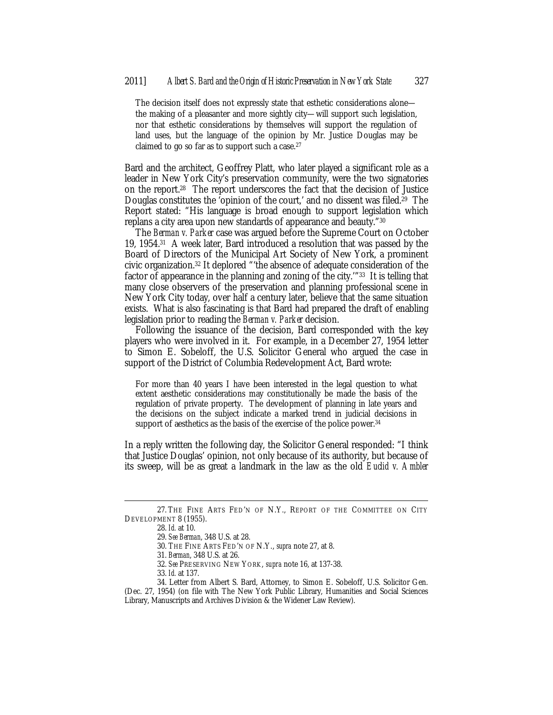The decision itself does not expressly state that esthetic considerations alone the making of a pleasanter and more sightly city—will support such legislation, nor that esthetic considerations by themselves will support the regulation of land uses, but the language of the opinion by Mr. Justice Douglas may be claimed to go so far as to support such a case.27

Bard and the architect, Geoffrey Platt, who later played a significant role as a leader in New York City's preservation community, were the two signatories on the report.28 The report underscores the fact that the decision of Justice Douglas constitutes the 'opinion of the court,' and no dissent was filed.29 The Report stated: "His language is broad enough to support legislation which replans a city area upon new standards of appearance and beauty."30

The *Berman v. Parker* case was argued before the Supreme Court on October 19, 1954.31 A week later, Bard introduced a resolution that was passed by the Board of Directors of the Municipal Art Society of New York, a prominent civic organization.32 It deplored "'the absence of adequate consideration of the factor of appearance in the planning and zoning of the city.'"33 It is telling that many close observers of the preservation and planning professional scene in New York City today, over half a century later, believe that the same situation exists. What is also fascinating is that Bard had prepared the draft of enabling legislation prior to reading the *Berman v. Parker* decision.

Following the issuance of the decision, Bard corresponded with the key players who were involved in it. For example, in a December 27, 1954 letter to Simon E. Sobeloff, the U.S. Solicitor General who argued the case in support of the District of Columbia Redevelopment Act, Bard wrote:

For more than 40 years I have been interested in the legal question to what extent aesthetic considerations may constitutionally be made the basis of the regulation of private property. The development of planning in late years and the decisions on the subject indicate a marked trend in judicial decisions in support of aesthetics as the basis of the exercise of the police power.<sup>34</sup>

In a reply written the following day, the Solicitor General responded: "I think that Justice Douglas' opinion, not only because of its authority, but because of its sweep, will be as great a landmark in the law as the old *Euclid v. Ambler* 

<sup>27.</sup> THE FINE ARTS FED'N OF N.Y., REPORT OF THE COMMITTEE ON CITY DEVELOPMENT 8 (1955).

<sup>28.</sup> *Id.* at 10.

<sup>29.</sup> *See Berman*, 348 U.S. at 28.

<sup>30.</sup> THE FINE ARTS FED'N OF N.Y., *supra* note 27, at 8.

<sup>31.</sup> *Berman*, 348 U.S. at 26.

<sup>32.</sup> *See* PRESERVING NEW YORK, *supra* note 16, at 137-38.

<sup>33.</sup> *Id.* at 137.

<sup>34.</sup> Letter from Albert S. Bard, Attorney, to Simon E. Sobeloff, U.S. Solicitor Gen. (Dec. 27, 1954) (on file with The New York Public Library, Humanities and Social Sciences Library, Manuscripts and Archives Division & the Widener Law Review).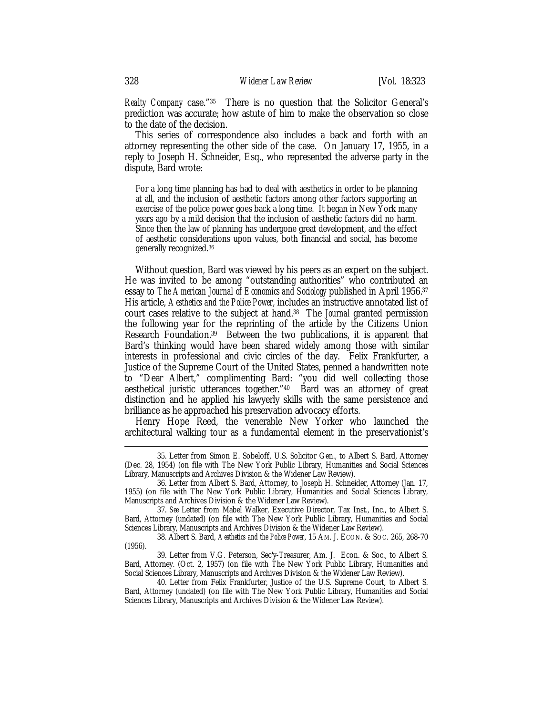*Realty Company* case."35 There is no question that the Solicitor General's prediction was accurate; how astute of him to make the observation so close to the date of the decision.

This series of correspondence also includes a back and forth with an attorney representing the other side of the case. On January 17, 1955, in a reply to Joseph H. Schneider, Esq., who represented the adverse party in the dispute, Bard wrote:

For a long time planning has had to deal with aesthetics in order to be planning at all, and the inclusion of aesthetic factors among other factors supporting an exercise of the police power goes back a long time. It began in New York many years ago by a mild decision that the inclusion of aesthetic factors did no harm. Since then the law of planning has undergone great development, and the effect of aesthetic considerations upon values, both financial and social, has become generally recognized.36

Without question, Bard was viewed by his peers as an expert on the subject. He was invited to be among "outstanding authorities" who contributed an essay to *The American Journal of Economics and Sociology* published in April 1956.37 His article, *Aesthetics and the Police Power*, includes an instructive annotated list of court cases relative to the subject at hand.38 The *Journal* granted permission the following year for the reprinting of the article by the Citizens Union Research Foundation.39 Between the two publications, it is apparent that Bard's thinking would have been shared widely among those with similar interests in professional and civic circles of the day. Felix Frankfurter, a Justice of the Supreme Court of the United States, penned a handwritten note to "Dear Albert," complimenting Bard: "you did well collecting those aesthetical juristic utterances together."40 Bard was an attorney of great distinction and he applied his lawyerly skills with the same persistence and brilliance as he approached his preservation advocacy efforts.

Henry Hope Reed, the venerable New Yorker who launched the architectural walking tour as a fundamental element in the preservationist's

38. Albert S. Bard, *Aesthetics and the Police Power*, 15 AM. J. ECON. & SOC. 265, 268-70 (1956).

39. Letter from V.G. Peterson, Sec'y-Treasurer, Am. J. Econ. & Soc., to Albert S. Bard, Attorney. (Oct. 2, 1957) (on file with The New York Public Library, Humanities and Social Sciences Library, Manuscripts and Archives Division & the Widener Law Review).

40. Letter from Felix Frankfurter, Justice of the U.S. Supreme Court, to Albert S. Bard, Attorney (undated) (on file with The New York Public Library, Humanities and Social Sciences Library, Manuscripts and Archives Division & the Widener Law Review).

 <sup>35.</sup> Letter from Simon E. Sobeloff, U.S. Solicitor Gen., to Albert S. Bard, Attorney (Dec. 28, 1954) (on file with The New York Public Library, Humanities and Social Sciences Library, Manuscripts and Archives Division & the Widener Law Review).

<sup>36.</sup> Letter from Albert S. Bard, Attorney, to Joseph H. Schneider, Attorney (Jan. 17, 1955) (on file with The New York Public Library, Humanities and Social Sciences Library, Manuscripts and Archives Division & the Widener Law Review).

<sup>37.</sup> *See* Letter from Mabel Walker, Executive Director, Tax Inst., Inc., to Albert S. Bard, Attorney (undated) (on file with The New York Public Library, Humanities and Social Sciences Library, Manuscripts and Archives Division & the Widener Law Review).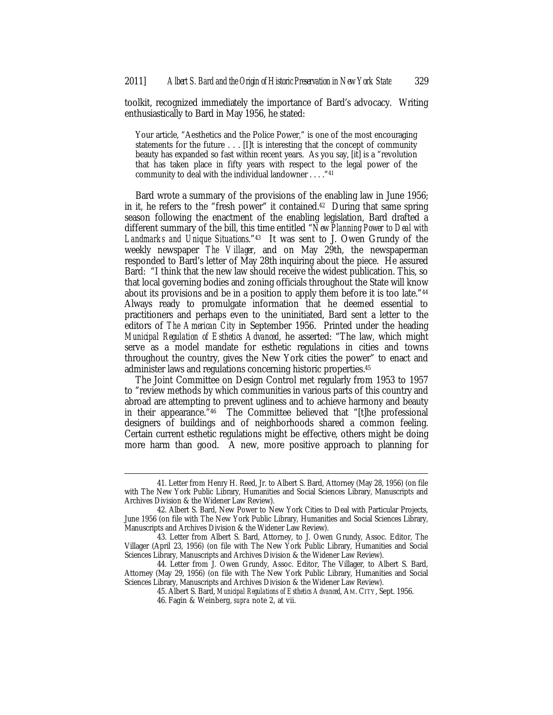toolkit, recognized immediately the importance of Bard's advocacy. Writing enthusiastically to Bard in May 1956, he stated:

Your article, "Aesthetics and the Police Power," is one of the most encouraging statements for the future . . . [I]t is interesting that the concept of community beauty has expanded so fast within recent years. As you say, [it] is a "revolution that has taken place in fifty years with respect to the legal power of the community to deal with the individual landowner . . . ."41

Bard wrote a summary of the provisions of the enabling law in June 1956; in it, he refers to the "fresh power" it contained.42 During that same spring season following the enactment of the enabling legislation, Bard drafted a different summary of the bill, this time entitled "*New Planning Power to Deal with Landmarks and Unique Situations*."43 It was sent to J. Owen Grundy of the weekly newspaper *The Villager*, and on May 29th, the newspaperman responded to Bard's letter of May 28th inquiring about the piece. He assured Bard: "I think that the new law should receive the widest publication. This, so that local governing bodies and zoning officials throughout the State will know about its provisions and be in a position to apply them before it is too late."44 Always ready to promulgate information that he deemed essential to practitioners and perhaps even to the uninitiated, Bard sent a letter to the editors of *The American City* in September 1956. Printed under the heading *Municipal Regulation of Esthetics Advanced*, he asserted: "The law, which might serve as a model mandate for esthetic regulations in cities and towns throughout the country, gives the New York cities the power" to enact and administer laws and regulations concerning historic properties.45

The Joint Committee on Design Control met regularly from 1953 to 1957 to "review methods by which communities in various parts of this country and abroad are attempting to prevent ugliness and to achieve harmony and beauty in their appearance."46 The Committee believed that "[t]he professional designers of buildings and of neighborhoods shared a common feeling. Certain current esthetic regulations might be effective, others might be doing more harm than good. A new, more positive approach to planning for

 <sup>41.</sup> Letter from Henry H. Reed, Jr. to Albert S. Bard, Attorney (May 28, 1956) (on file with The New York Public Library, Humanities and Social Sciences Library, Manuscripts and Archives Division & the Widener Law Review).

<sup>42.</sup> Albert S. Bard, New Power to New York Cities to Deal with Particular Projects, June 1956 (on file with The New York Public Library, Humanities and Social Sciences Library, Manuscripts and Archives Division & the Widener Law Review).

<sup>43.</sup> Letter from Albert S. Bard, Attorney, to J. Owen Grundy, Assoc. Editor, The Villager (April 23, 1956) (on file with The New York Public Library, Humanities and Social Sciences Library, Manuscripts and Archives Division & the Widener Law Review).

<sup>44.</sup> Letter from J. Owen Grundy, Assoc. Editor, The Villager, to Albert S. Bard, Attorney (May 29, 1956) (on file with The New York Public Library, Humanities and Social Sciences Library, Manuscripts and Archives Division & the Widener Law Review).

<sup>45.</sup> Albert S. Bard, *Municipal Regulations of Esthetics Advanced*, AM. CITY, Sept. 1956.

<sup>46.</sup> Fagin & Weinberg, *supra* note 2, at vii.